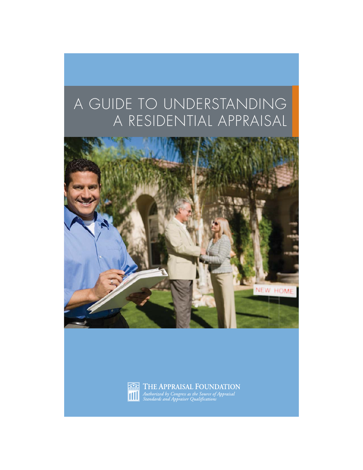# A GUIDE TO UNDERSTANDING A RESIDENTIAL APPRAISAL





THE APPRAISAL FOUNDATION Authorized by Congress as the Source of Appraisal<br>Standards and Appraiser Qualifications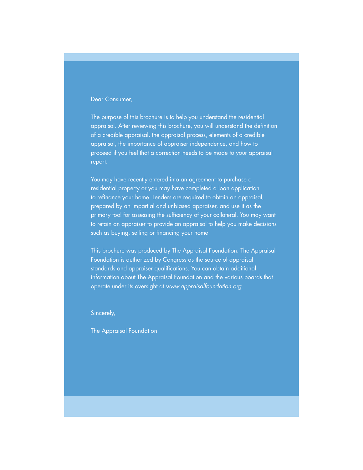### Dear Consumer,

The purpose of this brochure is to help you understand the residential appraisal. After reviewing this brochure, you will understand the definition of a credible appraisal, the appraisal process, elements of a credible appraisal, the importance of appraiser independence, and how to proceed if you feel that a correction needs to be made to your appraisal report.

You may have recently entered into an agreement to purchase a residential property or you may have completed a loan application to refinance your home. Lenders are required to obtain an appraisal, prepared by an impartial and unbiased appraiser, and use it as the primary tool for assessing the sufficiency of your collateral. You may want to retain an appraiser to provide an appraisal to help you make decisions such as buying, selling or financing your home.

This brochure was produced by The Appraisal Foundation. The Appraisal Foundation is authorized by Congress as the source of appraisal standards and appraiser qualifications. You can obtain additional information about The Appraisal Foundation and the various boards that operate under its oversight at www.appraisalfoundation.org.

Sincerely,

The Appraisal Foundation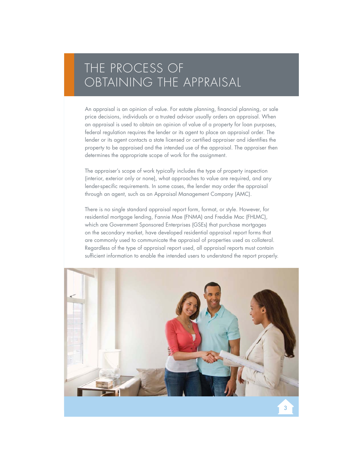## THE PROCESS OF OBTAINING THE APPRAISAL

An appraisal is an opinion of value. For estate planning, financial planning, or sale price decisions, individuals or a trusted advisor usually orders an appraisal. When an appraisal is used to obtain an opinion of value of a property for loan purposes, federal regulation requires the lender or its agent to place an appraisal order. The lender or its agent contacts a state licensed or certified appraiser and identifies the property to be appraised and the intended use of the appraisal. The appraiser then determines the appropriate scope of work for the assignment.

The appraiser's scope of work typically includes the type of property inspection (interior, exterior only or none), what approaches to value are required, and any lender-specific requirements. In some cases, the lender may order the appraisal through an agent, such as an Appraisal Management Company (AMC).

There is no single standard appraisal report form, format, or style. However, for residential mortgage lending, Fannie Mae (FNMA) and Freddie Mac (FHLMC), which are Government Sponsored Enterprises (GSEs) that purchase mortgages on the secondary market, have developed residential appraisal report forms that are commonly used to communicate the appraisal of properties used as collateral. Regardless of the type of appraisal report used, all appraisal reports must contain sufficient information to enable the intended users to understand the report properly.

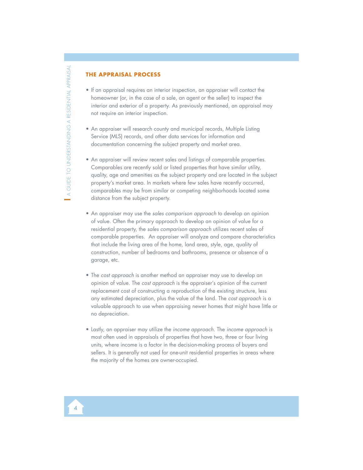## **THE APPRAISAL PROCESS**

- If an appraisal requires an interior inspection, an appraiser will contact the homeowner (or, in the case of a sale, an agent or the seller) to inspect the interior and exterior of a property. As previously mentioned, an appraisal may not require an interior inspection.
- An appraiser will research county and municipal records, Multiple Listing Service (MLS) records, and other data services for information and documentation concerning the subject property and market area.
- An appraiser will review recent sales and listings of comparable properties. Comparables are recently sold or listed properties that have similar utility, quality, age and amenities as the subject property and are located in the subject property's market area. In markets where few sales have recently occurred, comparables may be from similar or competing neighborhoods located some distance from the subject property.
- An appraiser may use the sales comparison approach to develop an opinion of value. Often the primary approach to develop an opinion of value for a residential property, the sales comparison approach utilizes recent sales of comparable properties. An appraiser will analyze and compare characteristics that include the living area of the home, land area, style, age, quality of construction, number of bedrooms and bathrooms, presence or absence of a garage, etc.
- The cost approach is another method an appraiser may use to develop an opinion of value. The cost approach is the appraiser's opinion of the current replacement cost of constructing a reproduction of the existing structure, less any estimated depreciation, plus the value of the land. The cost approach is a valuable approach to use when appraising newer homes that might have little or no depreciation.
- Lastly, an appraiser may utilize the income approach. The income approach is most often used in appraisals of properties that have two, three or four living units, where income is a factor in the decision-making process of buyers and sellers. It is generally not used for one-unit residential properties in areas where the majority of the homes are owner-occupied.

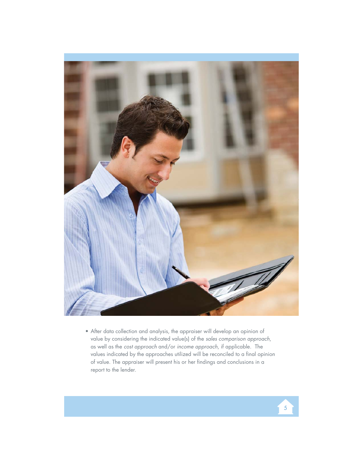

• After data collection and analysis, the appraiser will develop an opinion of value by considering the indicated value(s) of the sales comparison approach, as well as the cost approach and/or income approach, if applicable. The values indicated by the approaches utilized will be reconciled to a final opinion of value. The appraiser will present his or her findings and conclusions in a report to the lender.

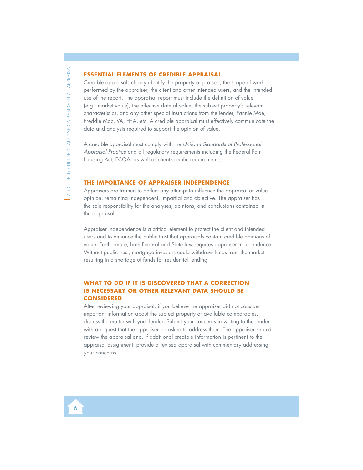#### **ESSENTIAL ELEMENTS OF CREDIBLE APPRAISAL**

Credible appraisals clearly identify the property appraised, the scope of work performed by the appraiser, the client and other intended users, and the intended use of the report. The appraisal report must include the definition of value (e.g., market value), the effective date of value, the subject property's relevant characteristics, and any other special instructions from the lender, Fannie Mae, Freddie Mac, VA, FHA, etc. A credible appraisal must effectively communicate the data and analysis required to support the opinion of value.

A credible appraisal must comply with the Uniform Standards of Professional Appraisal Practice and all regulatory requirements including the Federal Fair Housing Act, ECOA, as well as client-specific requirements.

### **THE IMPORTANCE OF APPRAISER INDEPENDENCE**

Appraisers are trained to deflect any attempt to influence the appraisal or value opinion, remaining independent, impartial and objective. The appraiser has the sole responsibility for the analyses, opinions, and conclusions contained in the appraisal.

Appraiser independence is a critical element to protect the client and intended users and to enhance the public trust that appraisals contain credible opinions of value. Furthermore, both Federal and State law requires appraiser independence. Without public trust, mortgage investors could withdraw funds from the market resulting in a shortage of funds for residential lending.

## WHAT TO DO IF IT IS DISCOVERED THAT A CORRECTION **IS NECESSARY OR OTHER RELEVANT DATA SHOULD BE CONSIDERED**

After reviewing your appraisal, if you believe the appraiser did not consider important information about the subject property or available comparables, discuss the matter with your lender. Submit your concerns in writing to the lender with a request that the appraiser be asked to address them. The appraiser should review the appraisal and, if additional credible information is pertinent to the appraisal assignment, provide a revised appraisal with commentary addressing your concerns.

6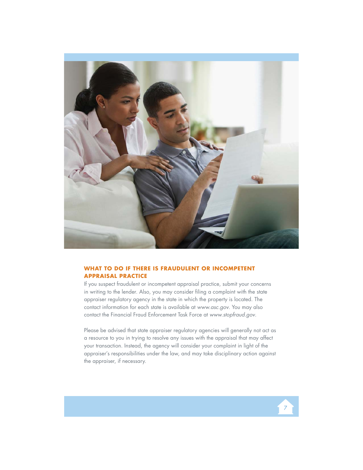

## **WHAT TO DO IF THERE IS FRAUDULENT OR INCOMPETENT APPRAISAL PRACTICE**

If you suspect fraudulent or incompetent appraisal practice, submit your concerns in writing to the lender. Also, you may consider filing a complaint with the state appraiser regulatory agency in the state in which the property is located. The contact information for each state is available at www.asc.gov. You may also contact the Financial Fraud Enforcement Task Force at www.stopfraud.gov.

Please be advised that state appraiser regulatory agencies will generally not act as a resource to you in trying to resolve any issues with the appraisal that may affect your transaction. Instead, the agency will consider your complaint in light of the appraiser's responsibilities under the law, and may take disciplinary action against the appraiser, if necessary.

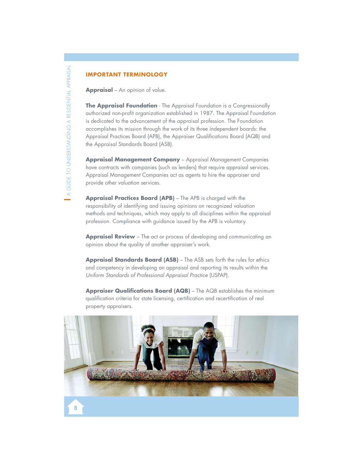## **IMPORTANT TERMINOLOGY**

**Appraisal** – An opinion of value.

**The Appraisal Foundation** - The Appraisal Foundation is a Congressionally authorized non-profit organization established in 1987. The Appraisal Foundation is dedicated to the advancement of the appraisal profession. The Foundation accomplishes its mission through the work of its three independent boards: the Appraisal Practices Board (APB), the Appraiser Qualifications Board (AQB) and the Appraisal Standards Board (ASB).

**Appraisal Management Company** – Appraisal Management Companies have contracts with companies (such as lenders) that require appraisal services. Appraisal Management Companies act as agents to hire the appraiser and provide other valuation services.

**Appraisal Practices Board (APB)** – The APB is charged with the responsibility of identifying and issuing opinions on recognized valuation methods and techniques, which may apply to all disciplines within the appraisal profession. Compliance with guidance issued by the APB is voluntary.

**Appraisal Review** – The act or process of developing and communicating an opinion about the quality of another appraiser's work.

**Appraisal Standards Board (ASB)** – The ASB sets forth the rules for ethics and competency in developing an appraisal and reporting its results within the Uniform Standards of Professional Appraisal Practice (USPAP).

**Appraiser Qualifications Board (AQB)** – The AQB establishes the minimum qualification criteria for state licensing, certification and recertification of real property appraisers.

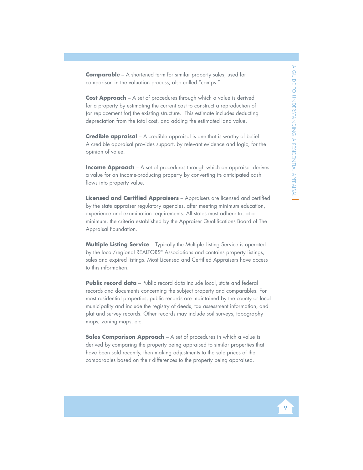**Comparable** – A shortened term for similar property sales, used for comparison in the valuation process; also called "comps."

**Cost Approach** – A set of procedures through which a value is derived for a property by estimating the current cost to construct a reproduction of (or replacement for) the existing structure. This estimate includes deducting depreciation from the total cost, and adding the estimated land value.

**Credible appraisal** – A credible appraisal is one that is worthy of belief. A credible appraisal provides support, by relevant evidence and logic, for the opinion of value.

**Income Approach** – A set of procedures through which an appraiser derives a value for an income-producing property by converting its anticipated cash flows into property value.

**Licensed and Certified Appraisers** – Appraisers are licensed and certified by the state appraiser regulatory agencies, after meeting minimum education, experience and examination requirements. All states must adhere to, at a minimum, the criteria established by the Appraiser Qualifications Board of The Appraisal Foundation.

**Multiple Listing Service** – Typically the Multiple Listing Service is operated by the local/regional REALTORS® Associations and contains property listings, sales and expired listings. Most Licensed and Certified Appraisers have access to this information.

**Public record data** – Public record data include local, state and federal records and documents concerning the subject property and comparables. For most residential properties, public records are maintained by the county or local municipality and include the registry of deeds, tax assessment information, and plat and survey records. Other records may include soil surveys, topography maps, zoning maps, etc.

**Sales Comparison Approach** – A set of procedures in which a value is derived by comparing the property being appraised to similar properties that have been sold recently, then making adjustments to the sale prices of the comparables based on their differences to the property being appraised.

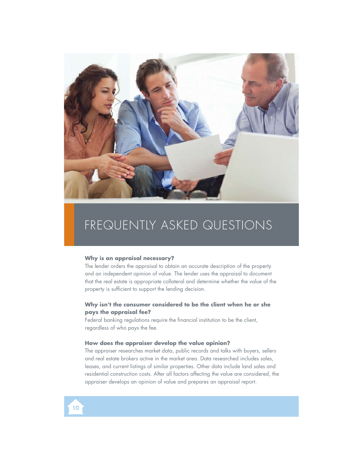

## FREQUENTLY ASKED QUESTIONS

#### **Why is an appraisal necessary?**

The lender orders the appraisal to obtain an accurate description of the property and an independent opinion of value. The lender uses the appraisal to document that the real estate is appropriate collateral and determine whether the value of the property is sufficient to support the lending decision.

## **Why isn't the consumer considered to be the client when he or she pays the appraisal fee?**

Federal banking regulations require the financial institution to be the client, regardless of who pays the fee.

#### **How does the appraiser develop the value opinion?**

The appraiser researches market data, public records and talks with buyers, sellers and real estate brokers active in the market area. Data researched includes sales, leases, and current listings of similar properties. Other data include land sales and residential construction costs. After all factors affecting the value are considered, the appraiser develops an opinion of value and prepares an appraisal report.

10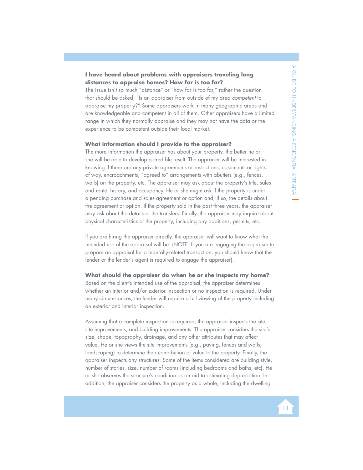## **I have heard about problems with appraisers traveling long distances to appraise homes? How far is too far?**

The issue isn't so much "distance" or "how far is too far," rather the question that should be asked, "Is an appraiser from outside of my area competent to appraise my property?" Some appraisers work in many geographic areas and are knowledgeable and competent in all of them. Other appraisers have a limited range in which they normally appraise and they may not have the data or the experience to be competent outside their local market.

#### **What information should I provide to the appraiser?**

The more information the appraiser has about your property, the better he or she will be able to develop a credible result. The appraiser will be interested in knowing if there are any private agreements or restrictions, easements or rights of way, encroachments, "agreed to" arrangements with abutters (e.g., fences, walls) on the property, etc. The appraiser may ask about the property's title, sales and rental history, and occupancy. He or she might ask if the property is under a pending purchase and sales agreement or option and, if so, the details about the agreement or option. If the property sold in the past three years, the appraiser may ask about the details of the transfers. Finally, the appraiser may inquire about physical characteristics of the property, including any additions, permits, etc.

If you are hiring the appraiser directly, the appraiser will want to know what the intended use of the appraisal will be. (NOTE: If you are engaging the appraiser to prepare an appraisal for a federally-related transaction, you should know that the lender or the lender's agent is required to engage the appraiser).

#### **What should the appraiser do when he or she inspects my home?**

Based on the client's intended use of the appraisal, the appraiser determines whether an interior and/or exterior inspection or no inspection is required. Under many circumstances, the lender will require a full viewing of the property including an exterior and interior inspection.

Assuming that a complete inspection is required, the appraiser inspects the site, site improvements, and building improvements. The appraiser considers the site's size, shape, topography, drainage, and any other attributes that may affect value. He or she views the site improvements (e.g., paving, fences and walls, landscaping) to determine their contribution of value to the property. Finally, the appraiser inspects any structures. Some of the items considered are building style, number of stories, size, number of rooms (including bedrooms and baths, etc). He or she observes the structure's condition as an aid to estimating depreciation. In addition, the appraiser considers the property as a whole, including the dwelling

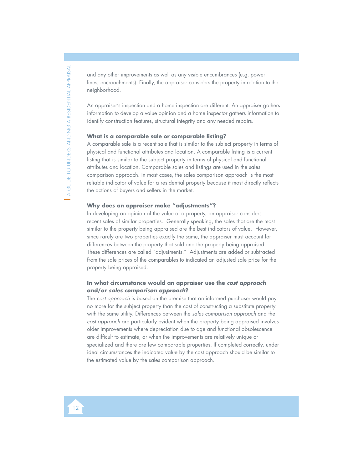and any other improvements as well as any visible encumbrances (e.g. power lines, encroachments). Finally, the appraiser considers the property in relation to the neighborhood.

An appraiser's inspection and a home inspection are different. An appraiser gathers information to develop a value opinion and a home inspector gathers information to identify construction features, structural integrity and any needed repairs.

#### **What is a comparable sale or comparable listing?**

A comparable sale is a recent sale that is similar to the subject property in terms of physical and functional attributes and location. A comparable listing is a current listing that is similar to the subject property in terms of physical and functional attributes and location. Comparable sales and listings are used in the sales comparison approach. In most cases, the sales comparison approach is the most reliable indicator of value for a residential property because it most directly reflects the actions of buyers and sellers in the market.

#### **Why does an appraiser make "adjustments"?**

In developing an opinion of the value of a property, an appraiser considers recent sales of similar properties. Generally speaking, the sales that are the most similar to the property being appraised are the best indicators of value. However, since rarely are two properties exactly the same, the appraiser must account for differences between the property that sold and the property being appraised. These differences are called "adjustments." Adjustments are added or subtracted from the sale prices of the comparables to indicated an adjusted sale price for the property being appraised.

## **In what circumstance would an appraiser use the** *cost approach* **and/or** *sales comparison approach***?**

The cost approach is based on the premise that an informed purchaser would pay no more for the subject property than the cost of constructing a substitute property with the same utility. Differences between the sales comparison approach and the cost approach are particularly evident when the property being appraised involves older improvements where depreciation due to age and functional obsolescence are difficult to estimate, or when the improvements are relatively unique or specialized and there are few comparable properties. If completed correctly, under ideal circumstances the indicated value by the cost approach should be similar to the estimated value by the sales comparison approach.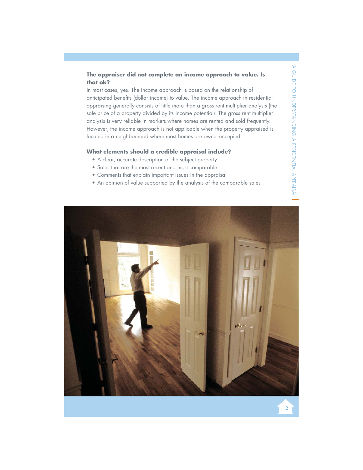## **The appraiser did not complete an income approach to value. Is that ok?**

In most cases, yes. The income approach is based on the relationship of anticipated benefits (dollar income) to value. The income approach in residential appraising generally consists of little more than a gross rent multiplier analysis (the sale price of a property divided by its income potential). The gross rent multiplier analysis is very reliable in markets where homes are rented and sold frequently. However, the income approach is not applicable when the property appraised is located in a neighborhood where most homes are owner-occupied.

#### **What elements should a credible appraisal include?**

- A clear, accurate description of the subject property
- Sales that are the most recent and most comparable
- Comments that explain important issues in the appraisal
- An opinion of value supported by the analysis of the comparable sales

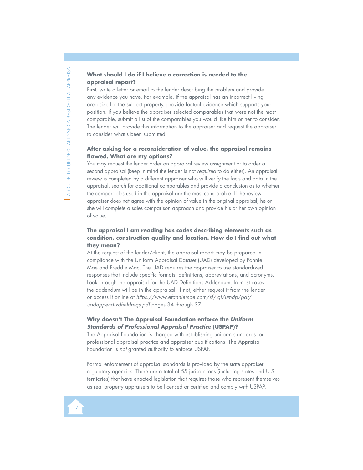## **What should I do if I believe a correction is needed to the appraisal report?**

First, write a letter or email to the lender describing the problem and provide any evidence you have. For example, if the appraisal has an incorrect living area size for the subject property, provide factual evidence which supports your position. If you believe the appraiser selected comparables that were not the most comparable, submit a list of the comparables you would like him or her to consider. The lender will provide this information to the appraiser and request the appraiser to consider what's been submitted.

## **After asking for a reconsideration of value, the appraisal remains flawed. What are my options?**

You may request the lender order an appraisal review assignment or to order a second appraisal (keep in mind the lender is not required to do either). An appraisal review is completed by a different appraiser who will verify the facts and data in the appraisal, search for additional comparables and provide a conclusion as to whether the comparables used in the appraisal are the most comparable. If the review appraiser does not agree with the opinion of value in the original appraisal, he or she will complete a sales comparison approach and provide his or her own opinion of value.

## **The appraisal I am reading has codes describing elements such as condition, construction quality and location. How do I find out what they mean?**

At the request of the lender/client, the appraisal report may be prepared in compliance with the Uniform Appraisal Dataset (UAD) developed by Fannie Mae and Freddie Mac. The UAD requires the appraiser to use standardized responses that include specific formats, definitions, abbreviations, and acronyms. Look through the appraisal for the UAD Definitions Addendum. In most cases, the addendum will be in the appraisal. If not, either request it from the lender or access it online at https://www.efanniemae.com/sf/lqi/umdp/pdf/ uadappendixdfieldreqs.pdf pages 34 through 37.

## **Why doesn't The Appraisal Foundation enforce the** *Uniform Standards of Professional Appraisal Practice* **(USPAP)?**

The Appraisal Foundation is charged with establishing uniform standards for professional appraisal practice and appraiser qualifications. The Appraisal Foundation is not granted authority to enforce USPAP.

Formal enforcement of appraisal standards is provided by the state appraiser regulatory agencies. There are a total of 55 jurisdictions (including states and U.S. territories) that have enacted legislation that requires those who represent themselves as real property appraisers to be licensed or certified and comply with USPAP.

## 14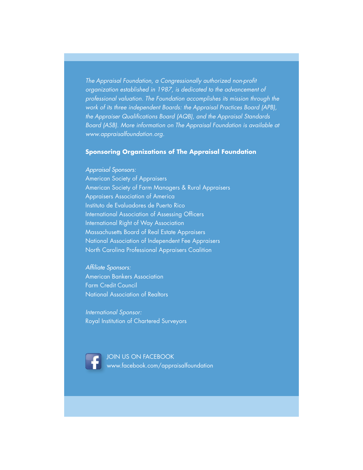The Appraisal Foundation, a Congressionally authorized non-profit organization established in 1987, is dedicated to the advancement of professional valuation. The Foundation accomplishes its mission through the work of its three independent Boards: the Appraisal Practices Board (APB), the Appraiser Qualifications Board (AQB), and the Appraisal Standards Board (ASB). More information on The Appraisal Foundation is available at www.appraisalfoundation.org.

## **Sponsoring Organizations of The Appraisal Foundation**

### Appraisal Sponsors:

American Society of Appraisers American Society of Farm Managers & Rural Appraisers Appraisers Association of America Instituto de Evaluadores de Puerto Rico International Association of Assessing Officers International Right of Way Association Massachusetts Board of Real Estate Appraisers National Association of Independent Fee Appraisers North Carolina Professional Appraisers Coalition

Affiliate Sponsors: American Bankers Association Farm Credit Council National Association of Realtors

International Sponsor: Royal Institution of Chartered Surveyors



JOIN US ON FACEBOOK Jwww.facebook.com/appraisalfoundation